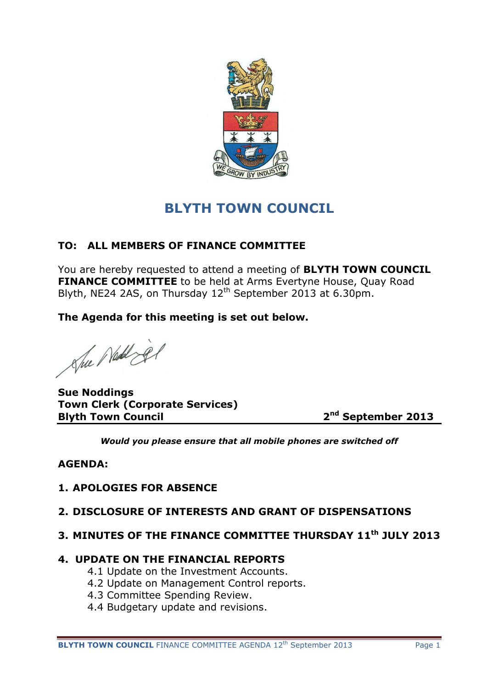

# **BLYTH TOWN COUNCIL**

# **TO: ALL MEMBERS OF FINANCE COMMITTEE**

You are hereby requested to attend a meeting of **BLYTH TOWN COUNCIL FINANCE COMMITTEE** to be held at Arms Evertyne House, Quay Road Blyth, NE24 2AS, on Thursday 12<sup>th</sup> September 2013 at 6.30pm.

**The Agenda for this meeting is set out below.**

She Ned jer

**Sue Noddings Town Clerk (Corporate Services) Blyth Town Council 2**

**nd September 2013**

*Would you please ensure that all mobile phones are switched off*

# **AGENDA:**

# **1. APOLOGIES FOR ABSENCE**

## **2. DISCLOSURE OF INTERESTS AND GRANT OF DISPENSATIONS**

# **3. MINUTES OF THE FINANCE COMMITTEE THURSDAY 11th JULY 2013**

## **4. UPDATE ON THE FINANCIAL REPORTS**

- 4.1 Update on the Investment Accounts.
- 4.2 Update on Management Control reports.
- 4.3 Committee Spending Review.
- 4.4 Budgetary update and revisions.